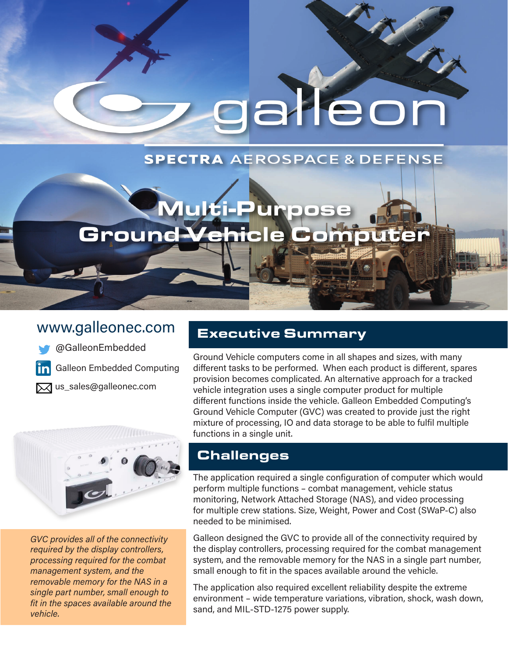galleor

# **SPECTRA AEROSPACE & DEFENSE**

# Multi-Purpose Ground Vehicle Computer

# www.galleonec.com

[@GalleonEmbedded](https://www.twitter.com/GalleonEmbedded)

[Galleon Embedded Computing](https://www.linkedin.com/company/galleon-embedded-computing-as)

 $\overline{\mathsf{X}}$ us\_[sales@galleonec.com](mailto:us_sales%40galleonec.com?subject=)



*GVC provides all of the connectivity required by the display controllers, processing required for the combat management system, and the removable memory for the NAS in a single part number, small enough to fit in the spaces available around the vehicle.*

#### Executive Summary

Ground Vehicle computers come in all shapes and sizes, with many different tasks to be performed. When each product is different, spares provision becomes complicated. An alternative approach for a tracked vehicle integration uses a single computer product for multiple different functions inside the vehicle. Galleon Embedded Computing's Ground Vehicle Computer (GVC) was created to provide just the right mixture of processing, IO and data storage to be able to fulfil multiple functions in a single unit.

## **Challenges**

The application required a single configuration of computer which would perform multiple functions – combat management, vehicle status monitoring, Network Attached Storage (NAS), and video processing for multiple crew stations. Size, Weight, Power and Cost (SWaP-C) also needed to be minimised.

Galleon designed the GVC to provide all of the connectivity required by the display controllers, processing required for the combat management system, and the removable memory for the NAS in a single part number, small enough to fit in the spaces available around the vehicle.

The application also required excellent reliability despite the extreme environment – wide temperature variations, vibration, shock, wash down, sand, and MIL-STD-1275 power supply.